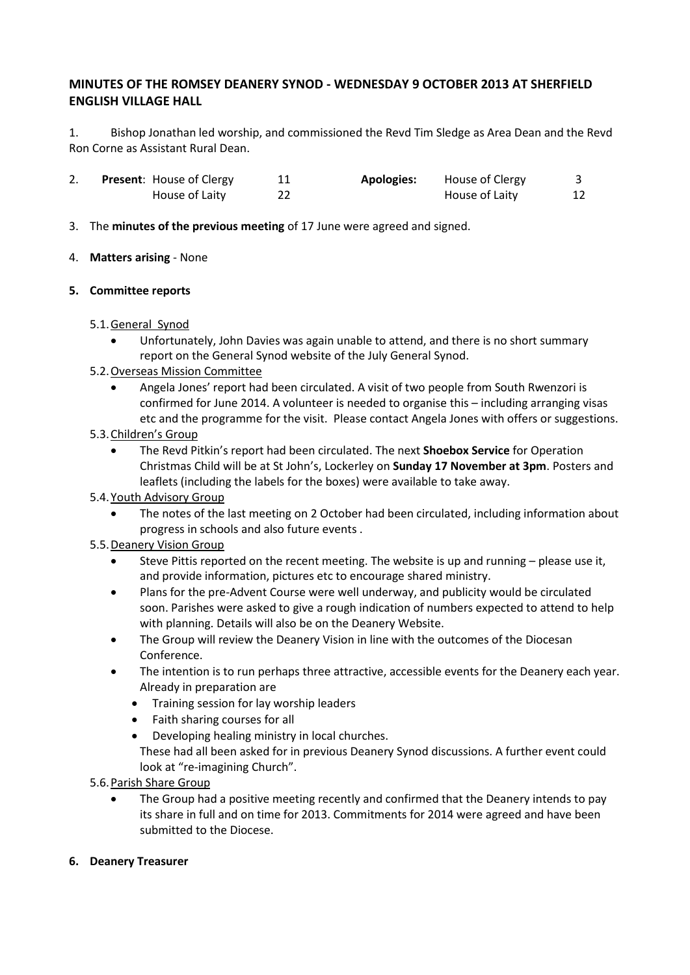# **MINUTES OF THE ROMSEY DEANERY SYNOD - WEDNESDAY 9 OCTOBER 2013 AT SHERFIELD ENGLISH VILLAGE HALL**

1. Bishop Jonathan led worship, and commissioned the Revd Tim Sledge as Area Dean and the Revd Ron Corne as Assistant Rural Dean.

|  | <b>Present:</b> House of Clergy | <b>Apologies:</b> | House of Clergy |    |
|--|---------------------------------|-------------------|-----------------|----|
|  | House of Laity                  |                   | House of Laity  | 12 |

3. The **minutes of the previous meeting** of 17 June were agreed and signed.

#### 4. **Matters arising** - None

#### **5. Committee reports**

## 5.1.General Synod

 Unfortunately, John Davies was again unable to attend, and there is no short summary report on the General Synod website of the July General Synod.

## 5.2.Overseas Mission Committee

 Angela Jones' report had been circulated. A visit of two people from South Rwenzori is confirmed for June 2014. A volunteer is needed to organise this – including arranging visas etc and the programme for the visit. Please contact Angela Jones with offers or suggestions.

#### 5.3.Children's Group

 The Revd Pitkin's report had been circulated. The next **Shoebox Service** for Operation Christmas Child will be at St John's, Lockerley on **Sunday 17 November at 3pm**. Posters and leaflets (including the labels for the boxes) were available to take away.

## 5.4.Youth Advisory Group

 The notes of the last meeting on 2 October had been circulated, including information about progress in schools and also future events .

## 5.5.Deanery Vision Group

- Steve Pittis reported on the recent meeting. The website is up and running please use it, and provide information, pictures etc to encourage shared ministry.
- Plans for the pre-Advent Course were well underway, and publicity would be circulated soon. Parishes were asked to give a rough indication of numbers expected to attend to help with planning. Details will also be on the Deanery Website.
- The Group will review the Deanery Vision in line with the outcomes of the Diocesan Conference.
- The intention is to run perhaps three attractive, accessible events for the Deanery each year. Already in preparation are
	- Training session for lay worship leaders
	- Faith sharing courses for all
	- Developing healing ministry in local churches. These had all been asked for in previous Deanery Synod discussions. A further event could look at "re-imagining Church".

5.6.Parish Share Group

 The Group had a positive meeting recently and confirmed that the Deanery intends to pay its share in full and on time for 2013. Commitments for 2014 were agreed and have been submitted to the Diocese.

## **6. Deanery Treasurer**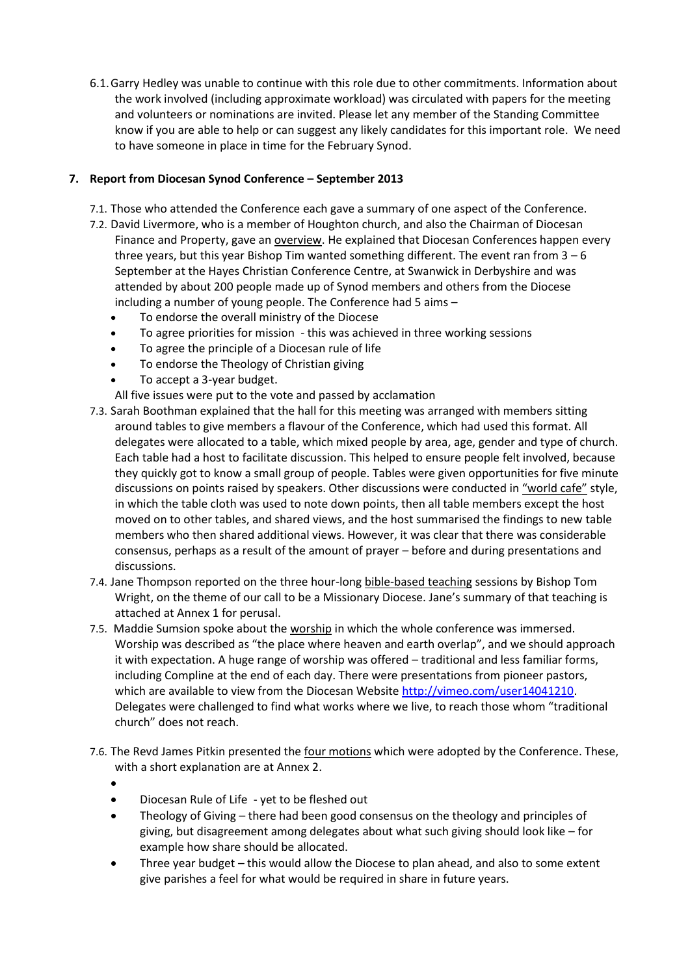6.1.Garry Hedley was unable to continue with this role due to other commitments. Information about the work involved (including approximate workload) was circulated with papers for the meeting and volunteers or nominations are invited. Please let any member of the Standing Committee know if you are able to help or can suggest any likely candidates for this important role. We need to have someone in place in time for the February Synod.

## **7. Report from Diocesan Synod Conference – September 2013**

- 7.1. Those who attended the Conference each gave a summary of one aspect of the Conference.
- 7.2. David Livermore, who is a member of Houghton church, and also the Chairman of Diocesan Finance and Property, gave an overview. He explained that Diocesan Conferences happen every three years, but this year Bishop Tim wanted something different. The event ran from  $3 - 6$ September at the Hayes Christian Conference Centre, at Swanwick in Derbyshire and was attended by about 200 people made up of Synod members and others from the Diocese including a number of young people. The Conference had 5 aims –
	- To endorse the overall ministry of the Diocese
	- To agree priorities for mission this was achieved in three working sessions
	- To agree the principle of a Diocesan rule of life
	- To endorse the Theology of Christian giving
	- To accept a 3-year budget.

All five issues were put to the vote and passed by acclamation

- 7.3. Sarah Boothman explained that the hall for this meeting was arranged with members sitting around tables to give members a flavour of the Conference, which had used this format. All delegates were allocated to a table, which mixed people by area, age, gender and type of church. Each table had a host to facilitate discussion. This helped to ensure people felt involved, because they quickly got to know a small group of people. Tables were given opportunities for five minute discussions on points raised by speakers. Other discussions were conducted in "world cafe" style, in which the table cloth was used to note down points, then all table members except the host moved on to other tables, and shared views, and the host summarised the findings to new table members who then shared additional views. However, it was clear that there was considerable consensus, perhaps as a result of the amount of prayer – before and during presentations and discussions.
- 7.4. Jane Thompson reported on the three hour-long bible-based teaching sessions by Bishop Tom Wright, on the theme of our call to be a Missionary Diocese. Jane's summary of that teaching is attached at Annex 1 for perusal.
- 7.5. Maddie Sumsion spoke about the worship in which the whole conference was immersed. Worship was described as "the place where heaven and earth overlap", and we should approach it with expectation. A huge range of worship was offered – traditional and less familiar forms, including Compline at the end of each day. There were presentations from pioneer pastors, which are available to view from the Diocesan Website [http://vimeo.com/user14041210.](http://vimeo.com/user14041210) Delegates were challenged to find what works where we live, to reach those whom "traditional church" does not reach.
- 7.6. The Revd James Pitkin presented the four motions which were adopted by the Conference. These, with a short explanation are at Annex 2.
	- $\bullet$
	- Diocesan Rule of Life yet to be fleshed out
	- Theology of Giving there had been good consensus on the theology and principles of giving, but disagreement among delegates about what such giving should look like – for example how share should be allocated.
	- Three year budget this would allow the Diocese to plan ahead, and also to some extent give parishes a feel for what would be required in share in future years.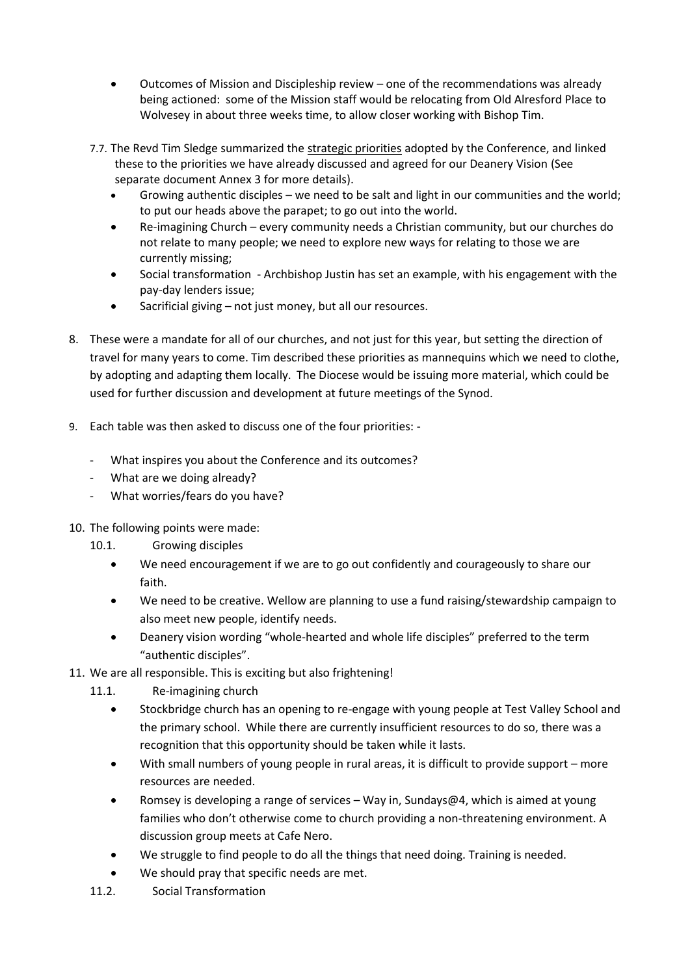- Outcomes of Mission and Discipleship review one of the recommendations was already being actioned: some of the Mission staff would be relocating from Old Alresford Place to Wolvesey in about three weeks time, to allow closer working with Bishop Tim.
- 7.7. The Revd Tim Sledge summarized the strategic priorities adopted by the Conference, and linked these to the priorities we have already discussed and agreed for our Deanery Vision (See separate document Annex 3 for more details).
	- Growing authentic disciples we need to be salt and light in our communities and the world; to put our heads above the parapet; to go out into the world.
	- Re-imagining Church every community needs a Christian community, but our churches do not relate to many people; we need to explore new ways for relating to those we are currently missing;
	- Social transformation Archbishop Justin has set an example, with his engagement with the pay-day lenders issue;
	- Sacrificial giving not just money, but all our resources.
- 8. These were a mandate for all of our churches, and not just for this year, but setting the direction of travel for many years to come. Tim described these priorities as mannequins which we need to clothe, by adopting and adapting them locally. The Diocese would be issuing more material, which could be used for further discussion and development at future meetings of the Synod.
- 9. Each table was then asked to discuss one of the four priorities:
	- What inspires you about the Conference and its outcomes?
	- What are we doing already?
	- What worries/fears do you have?
- 10. The following points were made:
	- 10.1. Growing disciples
		- We need encouragement if we are to go out confidently and courageously to share our faith.
		- We need to be creative. Wellow are planning to use a fund raising/stewardship campaign to also meet new people, identify needs.
		- Deanery vision wording "whole-hearted and whole life disciples" preferred to the term "authentic disciples".
- 11. We are all responsible. This is exciting but also frightening!
	- 11.1. Re-imagining church
		- Stockbridge church has an opening to re-engage with young people at Test Valley School and the primary school. While there are currently insufficient resources to do so, there was a recognition that this opportunity should be taken while it lasts.
		- With small numbers of young people in rural areas, it is difficult to provide support more resources are needed.
		- Romsey is developing a range of services Way in, Sundays@4, which is aimed at young families who don't otherwise come to church providing a non-threatening environment. A discussion group meets at Cafe Nero.
		- We struggle to find people to do all the things that need doing. Training is needed.
		- We should pray that specific needs are met.
	- 11.2. Social Transformation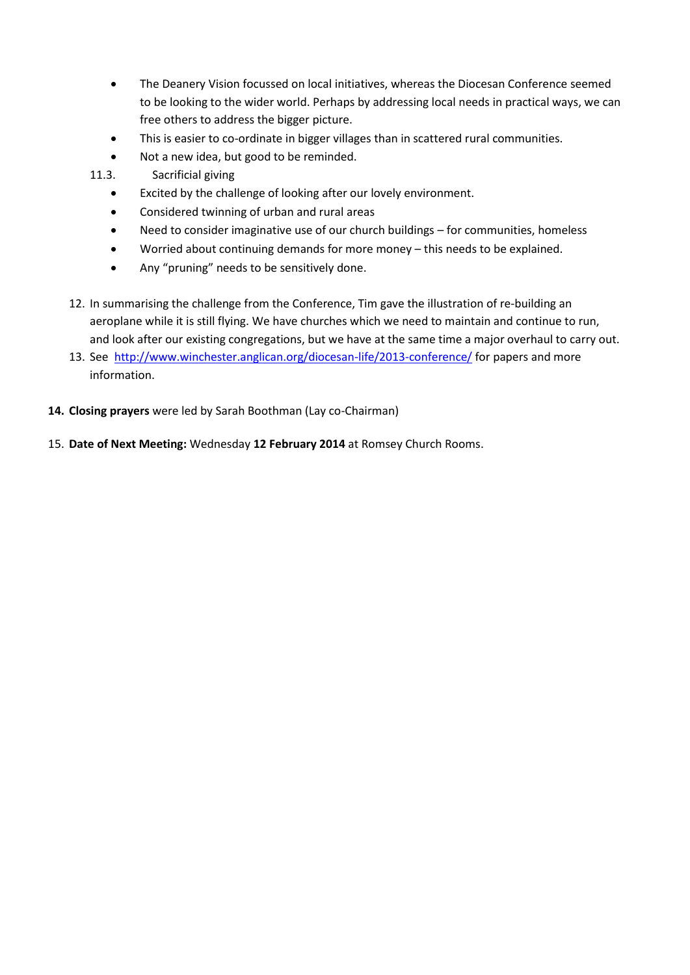- The Deanery Vision focussed on local initiatives, whereas the Diocesan Conference seemed to be looking to the wider world. Perhaps by addressing local needs in practical ways, we can free others to address the bigger picture.
- This is easier to co-ordinate in bigger villages than in scattered rural communities.
- Not a new idea, but good to be reminded.
- 11.3. Sacrificial giving
	- Excited by the challenge of looking after our lovely environment.
	- Considered twinning of urban and rural areas
	- Need to consider imaginative use of our church buildings for communities, homeless
	- Worried about continuing demands for more money this needs to be explained.
	- Any "pruning" needs to be sensitively done.
- 12. In summarising the challenge from the Conference, Tim gave the illustration of re-building an aeroplane while it is still flying. We have churches which we need to maintain and continue to run, and look after our existing congregations, but we have at the same time a major overhaul to carry out.
- 13. See<http://www.winchester.anglican.org/diocesan-life/2013-conference/> for papers and more information.
- **14. Closing prayers** were led by Sarah Boothman (Lay co-Chairman)
- 15. **Date of Next Meeting:** Wednesday **12 February 2014** at Romsey Church Rooms.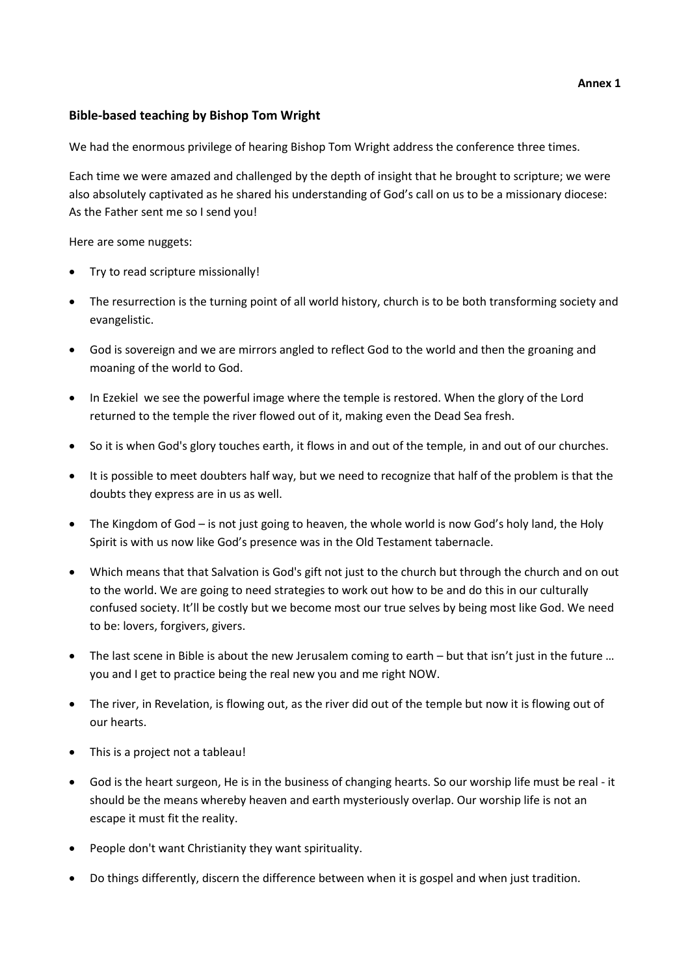#### **Annex 1**

## **Bible-based teaching by Bishop Tom Wright**

We had the enormous privilege of hearing Bishop Tom Wright address the conference three times.

Each time we were amazed and challenged by the depth of insight that he brought to scripture; we were also absolutely captivated as he shared his understanding of God's call on us to be a missionary diocese: As the Father sent me so I send you!

Here are some nuggets:

- Try to read scripture missionally!
- The resurrection is the turning point of all world history, church is to be both transforming society and evangelistic.
- God is sovereign and we are mirrors angled to reflect God to the world and then the groaning and moaning of the world to God.
- In Ezekiel we see the powerful image where the temple is restored. When the glory of the Lord returned to the temple the river flowed out of it, making even the Dead Sea fresh.
- So it is when God's glory touches earth, it flows in and out of the temple, in and out of our churches.
- It is possible to meet doubters half way, but we need to recognize that half of the problem is that the doubts they express are in us as well.
- The Kingdom of God is not just going to heaven, the whole world is now God's holy land, the Holy Spirit is with us now like God's presence was in the Old Testament tabernacle.
- Which means that that Salvation is God's gift not just to the church but through the church and on out to the world. We are going to need strategies to work out how to be and do this in our culturally confused society. It'll be costly but we become most our true selves by being most like God. We need to be: lovers, forgivers, givers.
- The last scene in Bible is about the new Jerusalem coming to earth but that isn't just in the future … you and I get to practice being the real new you and me right NOW.
- The river, in Revelation, is flowing out, as the river did out of the temple but now it is flowing out of our hearts.
- This is a project not a tableau!
- God is the heart surgeon, He is in the business of changing hearts. So our worship life must be real it should be the means whereby heaven and earth mysteriously overlap. Our worship life is not an escape it must fit the reality.
- People don't want Christianity they want spirituality.
- Do things differently, discern the difference between when it is gospel and when just tradition.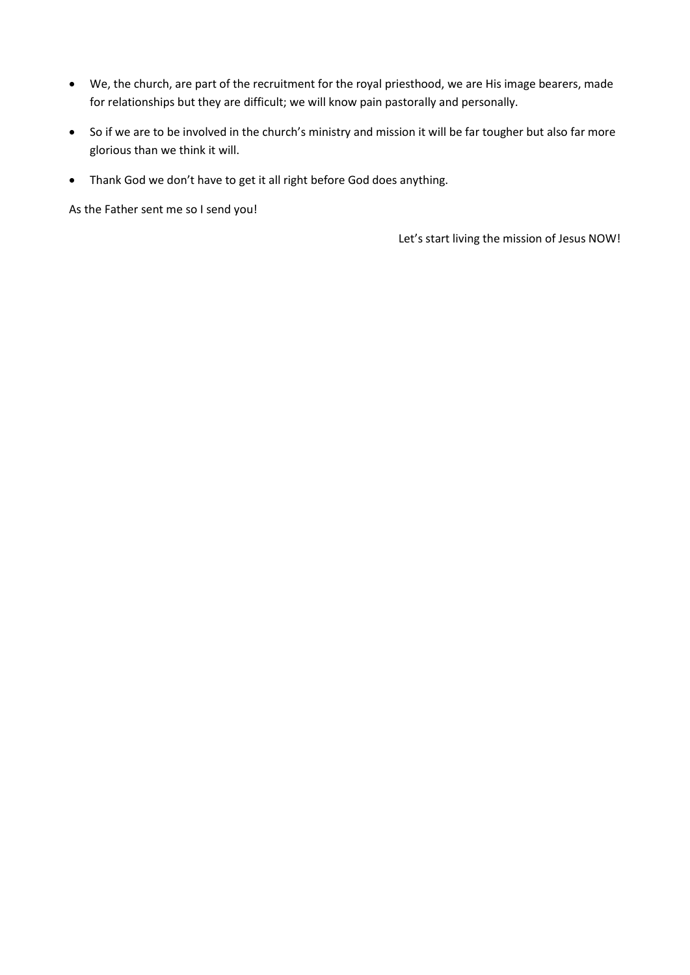- We, the church, are part of the recruitment for the royal priesthood, we are His image bearers, made for relationships but they are difficult; we will know pain pastorally and personally.
- So if we are to be involved in the church's ministry and mission it will be far tougher but also far more glorious than we think it will.
- Thank God we don't have to get it all right before God does anything.

As the Father sent me so I send you!

Let's start living the mission of Jesus NOW!